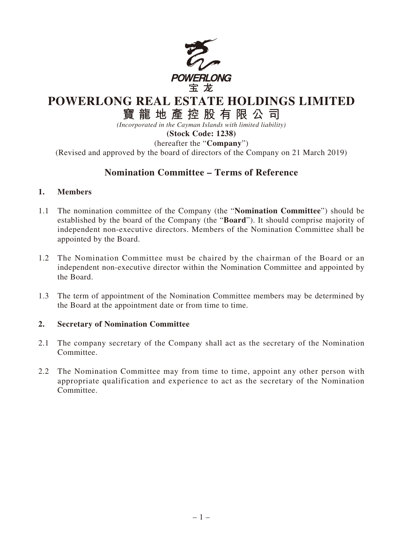

## **POWERLONG REAL ESTATE HOLDINGS LIMITED**

# **寶龍地產控股有限公司**

*(Incorporated in the Cayman Islands with limited liability)* **(Stock Code: 1238)**

(hereafter the "**Company**") (Revised and approved by the board of directors of the Company on 21 March 2019)

### **Nomination Committee – Terms of Reference**

#### **1. Members**

- 1.1 The nomination committee of the Company (the "**Nomination Committee**") should be established by the board of the Company (the "**Board**"). It should comprise majority of independent non-executive directors. Members of the Nomination Committee shall be appointed by the Board.
- 1.2 The Nomination Committee must be chaired by the chairman of the Board or an independent non-executive director within the Nomination Committee and appointed by the Board.
- 1.3 The term of appointment of the Nomination Committee members may be determined by the Board at the appointment date or from time to time.

#### **2. Secretary of Nomination Committee**

- 2.1 The company secretary of the Company shall act as the secretary of the Nomination Committee.
- 2.2 The Nomination Committee may from time to time, appoint any other person with appropriate qualification and experience to act as the secretary of the Nomination Committee.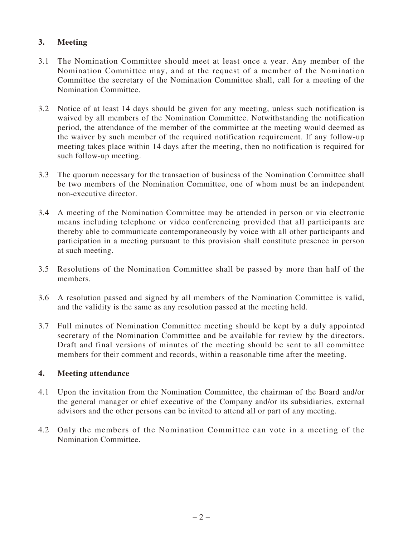#### **3. Meeting**

- 3.1 The Nomination Committee should meet at least once a year. Any member of the Nomination Committee may, and at the request of a member of the Nomination Committee the secretary of the Nomination Committee shall, call for a meeting of the Nomination Committee.
- 3.2 Notice of at least 14 days should be given for any meeting, unless such notification is waived by all members of the Nomination Committee. Notwithstanding the notification period, the attendance of the member of the committee at the meeting would deemed as the waiver by such member of the required notification requirement. If any follow-up meeting takes place within 14 days after the meeting, then no notification is required for such follow-up meeting.
- 3.3 The quorum necessary for the transaction of business of the Nomination Committee shall be two members of the Nomination Committee, one of whom must be an independent non-executive director.
- 3.4 A meeting of the Nomination Committee may be attended in person or via electronic means including telephone or video conferencing provided that all participants are thereby able to communicate contemporaneously by voice with all other participants and participation in a meeting pursuant to this provision shall constitute presence in person at such meeting.
- 3.5 Resolutions of the Nomination Committee shall be passed by more than half of the members.
- 3.6 A resolution passed and signed by all members of the Nomination Committee is valid, and the validity is the same as any resolution passed at the meeting held.
- 3.7 Full minutes of Nomination Committee meeting should be kept by a duly appointed secretary of the Nomination Committee and be available for review by the directors. Draft and final versions of minutes of the meeting should be sent to all committee members for their comment and records, within a reasonable time after the meeting.

#### **4. Meeting attendance**

- 4.1 Upon the invitation from the Nomination Committee, the chairman of the Board and/or the general manager or chief executive of the Company and/or its subsidiaries, external advisors and the other persons can be invited to attend all or part of any meeting.
- 4.2 Only the members of the Nomination Committee can vote in a meeting of the Nomination Committee.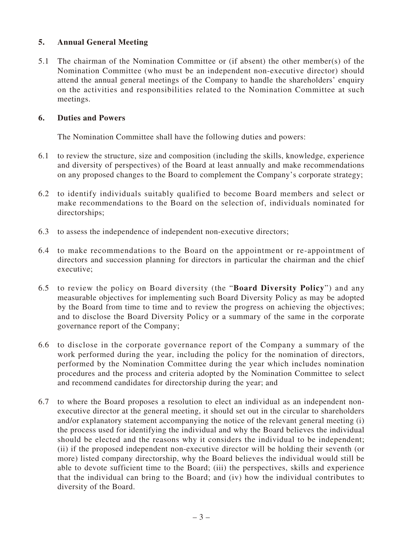#### **5. Annual General Meeting**

5.1 The chairman of the Nomination Committee or (if absent) the other member(s) of the Nomination Committee (who must be an independent non-executive director) should attend the annual general meetings of the Company to handle the shareholders' enquiry on the activities and responsibilities related to the Nomination Committee at such meetings.

#### **6. Duties and Powers**

The Nomination Committee shall have the following duties and powers:

- 6.1 to review the structure, size and composition (including the skills, knowledge, experience and diversity of perspectives) of the Board at least annually and make recommendations on any proposed changes to the Board to complement the Company's corporate strategy;
- 6.2 to identify individuals suitably qualified to become Board members and select or make recommendations to the Board on the selection of, individuals nominated for directorships;
- 6.3 to assess the independence of independent non-executive directors;
- 6.4 to make recommendations to the Board on the appointment or re-appointment of directors and succession planning for directors in particular the chairman and the chief executive;
- 6.5 to review the policy on Board diversity (the "**Board Diversity Policy**") and any measurable objectives for implementing such Board Diversity Policy as may be adopted by the Board from time to time and to review the progress on achieving the objectives; and to disclose the Board Diversity Policy or a summary of the same in the corporate governance report of the Company;
- 6.6 to disclose in the corporate governance report of the Company a summary of the work performed during the year, including the policy for the nomination of directors, performed by the Nomination Committee during the year which includes nomination procedures and the process and criteria adopted by the Nomination Committee to select and recommend candidates for directorship during the year; and
- 6.7 to where the Board proposes a resolution to elect an individual as an independent nonexecutive director at the general meeting, it should set out in the circular to shareholders and/or explanatory statement accompanying the notice of the relevant general meeting (i) the process used for identifying the individual and why the Board believes the individual should be elected and the reasons why it considers the individual to be independent; (ii) if the proposed independent non-executive director will be holding their seventh (or more) listed company directorship, why the Board believes the individual would still be able to devote sufficient time to the Board; (iii) the perspectives, skills and experience that the individual can bring to the Board; and (iv) how the individual contributes to diversity of the Board.